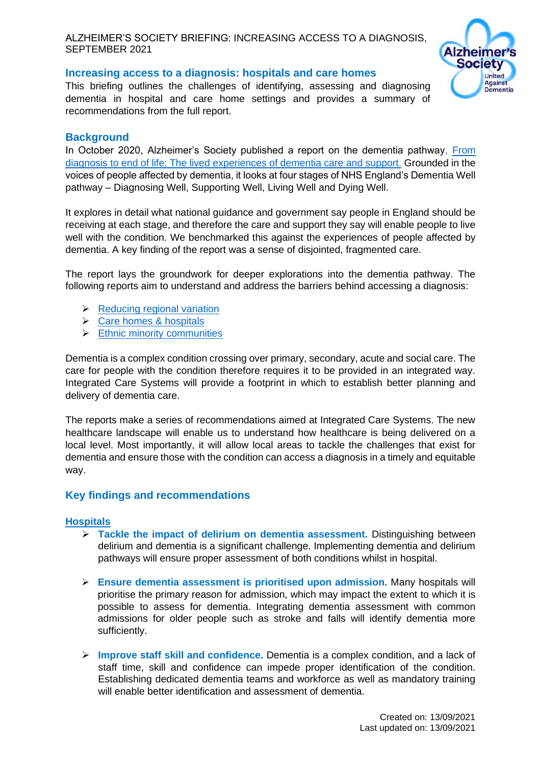ALZHEIMER'S SOCIETY BRIEFING: INCREASING ACCESS TO A DIAGNOSIS, SEPTEMBER 2021



# **Increasing access to a diagnosis: hospitals and care homes**

This briefing outlines the challenges of identifying, assessing and diagnosing dementia in hospital and care home settings and provides a summary of recommendations from the full report.

## **Background**

In October 2020, Alzheimer's Society published a report on the dementia pathway, [From](https://www.alzheimers.org.uk/about-us/policy-and-influencing/from-diagnosis-to-end-of-life)  [diagnosis to end of life: The lived experiences of dementia care and support.](https://www.alzheimers.org.uk/about-us/policy-and-influencing/from-diagnosis-to-end-of-life) Grounded in the voices of people affected by dementia, it looks at four stages of NHS England's Dementia Well pathway – Diagnosing Well, Supporting Well, Living Well and Dying Well.

It explores in detail what national guidance and government say people in England should be receiving at each stage, and therefore the care and support they say will enable people to live well with the condition. We benchmarked this against the experiences of people affected by dementia. A key finding of the report was a sense of disjointed, fragmented care.

The report lays the groundwork for deeper explorations into the dementia pathway. The following reports aim to understand and address the barriers behind accessing a diagnosis:

- ➢ [Reducing regional variation](https://www.alzheimers.org.uk/sites/default/files/2021-09/regional_variations_increasing_access_to_diagnosis.pdf)
- ➢ [Care homes & hospitals](https://www.alzheimers.org.uk/sites/default/files/2021-09/hospitals_and_care_homes_increasing_access_to_diagnosis.pdf)
- $\triangleright$  [Ethnic minority communities](https://www.alzheimers.org.uk/sites/default/files/2021-09/ethinic_minorities_increasing_access_to_diagnosis.pdf)

Dementia is a complex condition crossing over primary, secondary, acute and social care. The care for people with the condition therefore requires it to be provided in an integrated way. Integrated Care Systems will provide a footprint in which to establish better planning and delivery of dementia care.

The reports make a series of recommendations aimed at Integrated Care Systems. The new healthcare landscape will enable us to understand how healthcare is being delivered on a local level. Most importantly, it will allow local areas to tackle the challenges that exist for dementia and ensure those with the condition can access a diagnosis in a timely and equitable way.

# **Key findings and recommendations**

### **Hospitals**

- ➢ **Tackle the impact of delirium on dementia assessment.** Distinguishing between delirium and dementia is a significant challenge. Implementing dementia and delirium pathways will ensure proper assessment of both conditions whilst in hospital.
- ➢ **Ensure dementia assessment is prioritised upon admission.** Many hospitals will prioritise the primary reason for admission, which may impact the extent to which it is possible to assess for dementia. Integrating dementia assessment with common admissions for older people such as stroke and falls will identify dementia more sufficiently.
- ➢ **Improve staff skill and confidence.** Dementia is a complex condition, and a lack of staff time, skill and confidence can impede proper identification of the condition. Establishing dedicated dementia teams and workforce as well as mandatory training will enable better identification and assessment of dementia.